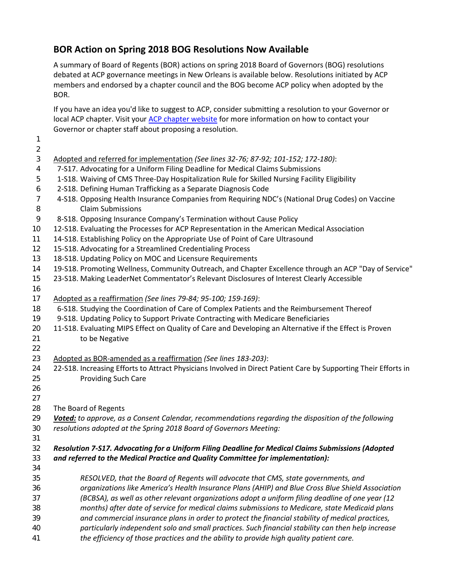## **BOR Action on Spring 2018 BOG Resolutions Now Available**

A summary of Board of Regents (BOR) actions on spring 2018 Board of Governors (BOG) resolutions debated at ACP governance meetings in New Orleans is available below. Resolutions initiated by ACP members and endorsed by a chapter council and the BOG become ACP policy when adopted by the BOR.

If you have an idea you'd like to suggest to ACP, consider submitting a resolution to your Governor or local ACP chapter. Visit your [ACP chapter website](https://www.acponline.org/about-acp/chapters-regions) for more information on how to contact your Governor or chapter staff about proposing a resolution.

| 2              |                                                                                                                 |
|----------------|-----------------------------------------------------------------------------------------------------------------|
| $\mathfrak{Z}$ | Adopted and referred for implementation (See lines 32-76; 87-92; 101-152; 172-180):                             |
| 4              | 7-S17. Advocating for a Uniform Filing Deadline for Medical Claims Submissions                                  |
| 5              | 1-S18. Waiving of CMS Three-Day Hospitalization Rule for Skilled Nursing Facility Eligibility                   |
| 6              | 2-S18. Defining Human Trafficking as a Separate Diagnosis Code                                                  |
| 7              | 4-S18. Opposing Health Insurance Companies from Requiring NDC's (National Drug Codes) on Vaccine                |
| 8              | <b>Claim Submissions</b>                                                                                        |
| 9              | 8-S18. Opposing Insurance Company's Termination without Cause Policy                                            |
| 10             | 12-S18. Evaluating the Processes for ACP Representation in the American Medical Association                     |
| 11             | 14-S18. Establishing Policy on the Appropriate Use of Point of Care Ultrasound                                  |
| 12             | 15-S18. Advocating for a Streamlined Credentialing Process                                                      |
| 13             | 18-S18. Updating Policy on MOC and Licensure Requirements                                                       |
| 14             | 19-S18. Promoting Wellness, Community Outreach, and Chapter Excellence through an ACP "Day of Service"          |
| 15             | 23-S18. Making LeaderNet Commentator's Relevant Disclosures of Interest Clearly Accessible                      |
| 16             |                                                                                                                 |
| 17             | Adopted as a reaffirmation (See lines 79-84; 95-100; 159-169):                                                  |
| 18             | 6-S18. Studying the Coordination of Care of Complex Patients and the Reimbursement Thereof                      |
| 19             | 9-S18. Updating Policy to Support Private Contracting with Medicare Beneficiaries                               |
| 20             | 11-S18. Evaluating MIPS Effect on Quality of Care and Developing an Alternative if the Effect is Proven         |
| 21             | to be Negative                                                                                                  |
| 22             |                                                                                                                 |
| 23             | Adopted as BOR-amended as a reaffirmation (See lines 183-203):                                                  |
| 24             | 22-S18. Increasing Efforts to Attract Physicians Involved in Direct Patient Care by Supporting Their Efforts in |
| 25             | <b>Providing Such Care</b>                                                                                      |
| 26             |                                                                                                                 |
| 27             |                                                                                                                 |
| 28             | The Board of Regents                                                                                            |
| 29             | Voted: to approve, as a Consent Calendar, recommendations regarding the disposition of the following            |
| 30             | resolutions adopted at the Spring 2018 Board of Governors Meeting:                                              |
| 31             |                                                                                                                 |
| 32             | Resolution 7-S17. Advocating for a Uniform Filing Deadline for Medical Claims Submissions (Adopted              |
| 33             | and referred to the Medical Practice and Quality Committee for implementation):                                 |
| 34             |                                                                                                                 |
| 35             | RESOLVED, that the Board of Regents will advocate that CMS, state governments, and                              |
| 36             | organizations like America's Health Insurance Plans (AHIP) and Blue Cross Blue Shield Association               |
| 37             | (BCBSA), as well as other relevant organizations adopt a uniform filing deadline of one year (12                |
| 38             | months) after date of service for medical claims submissions to Medicare, state Medicaid plans                  |
| 39             | and commercial insurance plans in order to protect the financial stability of medical practices,                |
| 40             | particularly independent solo and small practices. Such financial stability can then help increase              |
| 41             | the efficiency of those practices and the ability to provide high quality patient care.                         |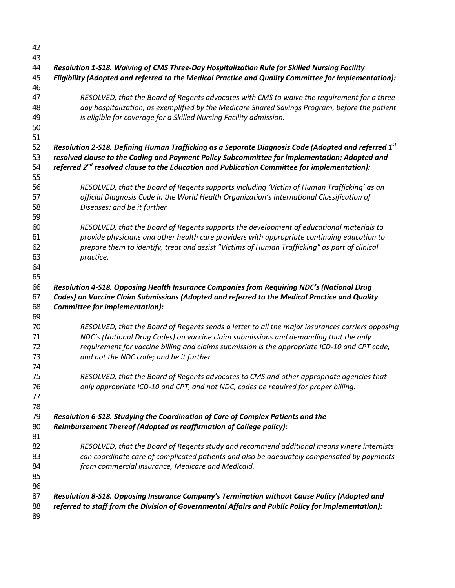| 42 |                                                                                                      |
|----|------------------------------------------------------------------------------------------------------|
| 43 |                                                                                                      |
| 44 | Resolution 1-S18. Waiving of CMS Three-Day Hospitalization Rule for Skilled Nursing Facility         |
| 45 | Eligibility (Adopted and referred to the Medical Practice and Quality Committee for implementation): |
| 46 |                                                                                                      |
| 47 | RESOLVED, that the Board of Regents advocates with CMS to waive the requirement for a three-         |
| 48 | day hospitalization, as exemplified by the Medicare Shared Savings Program, before the patient       |
| 49 | is eligible for coverage for a Skilled Nursing Facility admission.                                   |
| 50 |                                                                                                      |
| 51 |                                                                                                      |
| 52 | Resolution 2-S18. Defining Human Trafficking as a Separate Diagnosis Code (Adopted and referred 1st  |
| 53 | resolved clause to the Coding and Payment Policy Subcommittee for implementation; Adopted and        |
|    |                                                                                                      |
| 54 | referred $2^{nd}$ resolved clause to the Education and Publication Committee for implementation):    |
| 55 |                                                                                                      |
| 56 | RESOLVED, that the Board of Regents supports including 'Victim of Human Trafficking' as an           |
| 57 | official Diagnosis Code in the World Health Organization's International Classification of           |
| 58 | Diseases; and be it further                                                                          |
| 59 |                                                                                                      |
| 60 | RESOLVED, that the Board of Regents supports the development of educational materials to             |
| 61 | provide physicians and other health care providers with appropriate continuing education to          |
| 62 | prepare them to identify, treat and assist "Victims of Human Trafficking" as part of clinical        |
| 63 | practice.                                                                                            |
| 64 |                                                                                                      |
| 65 |                                                                                                      |
| 66 | Resolution 4-S18. Opposing Health Insurance Companies from Requiring NDC's (National Drug            |
| 67 | Codes) on Vaccine Claim Submissions (Adopted and referred to the Medical Practice and Quality        |
| 68 | Committee for implementation):                                                                       |
| 69 |                                                                                                      |
| 70 | RESOLVED, that the Board of Regents sends a letter to all the major insurances carriers opposing     |
| 71 | NDC's (National Drug Codes) on vaccine claim submissions and demanding that the only                 |
| 72 | requirement for vaccine billing and claims submission is the appropriate ICD-10 and CPT code,        |
| 73 | and not the NDC code; and be it further                                                              |
| 74 |                                                                                                      |
| 75 | RESOLVED, that the Board of Regents advocates to CMS and other appropriate agencies that             |
| 76 | only appropriate ICD-10 and CPT, and not NDC, codes be required for proper billing.                  |
| 77 |                                                                                                      |
| 78 |                                                                                                      |
| 79 | Resolution 6-S18. Studying the Coordination of Care of Complex Patients and the                      |
| 80 |                                                                                                      |
|    | Reimbursement Thereof (Adopted as reaffirmation of College policy):                                  |
| 81 |                                                                                                      |
| 82 | RESOLVED, that the Board of Regents study and recommend additional means where internists            |
| 83 | can coordinate care of complicated patients and also be adequately compensated by payments           |
| 84 | from commercial insurance, Medicare and Medicaid.                                                    |
| 85 |                                                                                                      |
| 86 |                                                                                                      |
| 87 | Resolution 8-S18. Opposing Insurance Company's Termination without Cause Policy (Adopted and         |
| 88 | referred to staff from the Division of Governmental Affairs and Public Policy for implementation):   |
| 89 |                                                                                                      |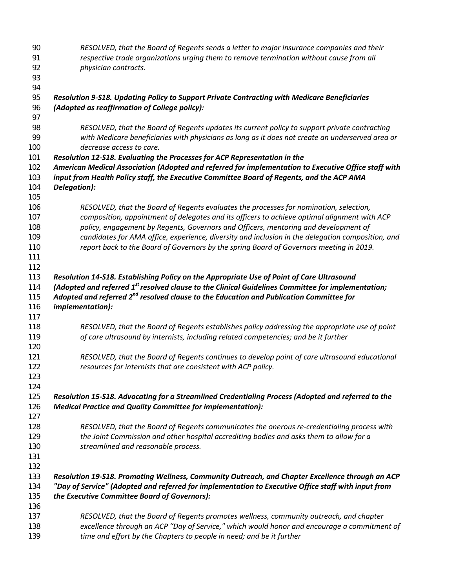| 90  | RESOLVED, that the Board of Regents sends a letter to major insurance companies and their                      |
|-----|----------------------------------------------------------------------------------------------------------------|
| 91  | respective trade organizations urging them to remove termination without cause from all                        |
| 92  | physician contracts.                                                                                           |
| 93  |                                                                                                                |
| 94  |                                                                                                                |
| 95  | Resolution 9-S18. Updating Policy to Support Private Contracting with Medicare Beneficiaries                   |
| 96  | (Adopted as reaffirmation of College policy):                                                                  |
| 97  |                                                                                                                |
| 98  | RESOLVED, that the Board of Regents updates its current policy to support private contracting                  |
| 99  | with Medicare beneficiaries with physicians as long as it does not create an underserved area or               |
| 100 | decrease access to care.                                                                                       |
| 101 | Resolution 12-S18. Evaluating the Processes for ACP Representation in the                                      |
| 102 | American Medical Association (Adopted and referred for implementation to Executive Office staff with           |
| 103 | input from Health Policy staff, the Executive Committee Board of Regents, and the ACP AMA                      |
| 104 | Delegation):                                                                                                   |
| 105 |                                                                                                                |
| 106 | RESOLVED, that the Board of Regents evaluates the processes for nomination, selection,                         |
| 107 | composition, appointment of delegates and its officers to achieve optimal alignment with ACP                   |
| 108 | policy, engagement by Regents, Governors and Officers, mentoring and development of                            |
| 109 | candidates for AMA office, experience, diversity and inclusion in the delegation composition, and              |
| 110 | report back to the Board of Governors by the spring Board of Governors meeting in 2019.                        |
| 111 |                                                                                                                |
| 112 |                                                                                                                |
| 113 | Resolution 14-S18. Establishing Policy on the Appropriate Use of Point of Care Ultrasound                      |
| 114 | (Adopted and referred 1 <sup>st</sup> resolved clause to the Clinical Guidelines Committee for implementation; |
| 115 | Adopted and referred 2 <sup>nd</sup> resolved clause to the Education and Publication Committee for            |
| 116 | <i>implementation):</i>                                                                                        |
| 117 |                                                                                                                |
| 118 | RESOLVED, that the Board of Regents establishes policy addressing the appropriate use of point                 |
| 119 | of care ultrasound by internists, including related competencies; and be it further                            |
| 120 |                                                                                                                |
| 121 | RESOLVED, that the Board of Regents continues to develop point of care ultrasound educational                  |
| 122 | resources for internists that are consistent with ACP policy.                                                  |
| 123 |                                                                                                                |
| 124 |                                                                                                                |
| 125 | Resolution 15-S18. Advocating for a Streamlined Credentialing Process (Adopted and referred to the             |
| 126 | <b>Medical Practice and Quality Committee for implementation):</b>                                             |
| 127 |                                                                                                                |
| 128 | RESOLVED, that the Board of Regents communicates the onerous re-credentialing process with                     |
| 129 | the Joint Commission and other hospital accrediting bodies and asks them to allow for a                        |
| 130 | streamlined and reasonable process.                                                                            |
| 131 |                                                                                                                |
| 132 |                                                                                                                |
| 133 | Resolution 19-S18. Promoting Wellness, Community Outreach, and Chapter Excellence through an ACP               |
| 134 | "Day of Service" (Adopted and referred for implementation to Executive Office staff with input from            |
| 135 | the Executive Committee Board of Governors):                                                                   |
| 136 |                                                                                                                |
| 137 | RESOLVED, that the Board of Regents promotes wellness, community outreach, and chapter                         |
| 138 | excellence through an ACP "Day of Service," which would honor and encourage a commitment of                    |
| 139 | time and effort by the Chapters to people in need; and be it further                                           |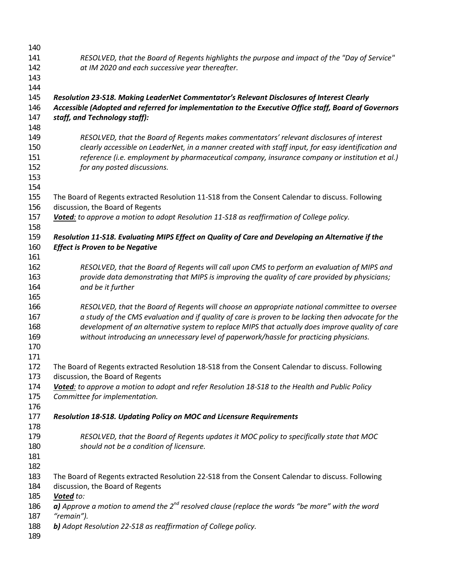| 140 |                                                                                                       |
|-----|-------------------------------------------------------------------------------------------------------|
| 141 | RESOLVED, that the Board of Regents highlights the purpose and impact of the "Day of Service"         |
| 142 | at IM 2020 and each successive year thereafter.                                                       |
| 143 |                                                                                                       |
| 144 |                                                                                                       |
| 145 | Resolution 23-S18. Making LeaderNet Commentator's Relevant Disclosures of Interest Clearly            |
| 146 | Accessible (Adopted and referred for implementation to the Executive Office staff, Board of Governors |
| 147 | staff, and Technology staff):                                                                         |
| 148 |                                                                                                       |
| 149 | RESOLVED, that the Board of Regents makes commentators' relevant disclosures of interest              |
| 150 | clearly accessible on LeaderNet, in a manner created with staff input, for easy identification and    |
| 151 | reference (i.e. employment by pharmaceutical company, insurance company or institution et al.)        |
| 152 | for any posted discussions.                                                                           |
| 153 |                                                                                                       |
| 154 |                                                                                                       |
| 155 | The Board of Regents extracted Resolution 11-S18 from the Consent Calendar to discuss. Following      |
| 156 | discussion, the Board of Regents                                                                      |
| 157 | Voted: to approve a motion to adopt Resolution 11-S18 as reaffirmation of College policy.             |
| 158 |                                                                                                       |
| 159 | Resolution 11-S18. Evaluating MIPS Effect on Quality of Care and Developing an Alternative if the     |
| 160 | <b>Effect is Proven to be Negative</b>                                                                |
| 161 |                                                                                                       |
| 162 | RESOLVED, that the Board of Regents will call upon CMS to perform an evaluation of MIPS and           |
| 163 | provide data demonstrating that MIPS is improving the quality of care provided by physicians;         |
| 164 | and be it further                                                                                     |
| 165 |                                                                                                       |
| 166 | RESOLVED, that the Board of Regents will choose an appropriate national committee to oversee          |
| 167 | a study of the CMS evaluation and if quality of care is proven to be lacking then advocate for the    |
| 168 | development of an alternative system to replace MIPS that actually does improve quality of care       |
| 169 | without introducing an unnecessary level of paperwork/hassle for practicing physicians.               |
| 170 |                                                                                                       |
| 171 |                                                                                                       |
| 172 | The Board of Regents extracted Resolution 18-S18 from the Consent Calendar to discuss. Following      |
| 173 | discussion, the Board of Regents                                                                      |
| 174 | Voted: to approve a motion to adopt and refer Resolution 18-S18 to the Health and Public Policy       |
| 175 | Committee for implementation.                                                                         |
| 176 |                                                                                                       |
| 177 | Resolution 18-S18. Updating Policy on MOC and Licensure Requirements                                  |
| 178 |                                                                                                       |
|     |                                                                                                       |
| 179 | RESOLVED, that the Board of Regents updates it MOC policy to specifically state that MOC              |
| 180 | should not be a condition of licensure.                                                               |
| 181 |                                                                                                       |
| 182 |                                                                                                       |
| 183 | The Board of Regents extracted Resolution 22-S18 from the Consent Calendar to discuss. Following      |
| 184 | discussion, the Board of Regents                                                                      |
| 185 | Voted to:                                                                                             |
| 186 | a) Approve a motion to amend the $2^{nd}$ resolved clause (replace the words "be more" with the word  |
| 187 | "remain").                                                                                            |
| 188 | b) Adopt Resolution 22-S18 as reaffirmation of College policy.                                        |
| 189 |                                                                                                       |